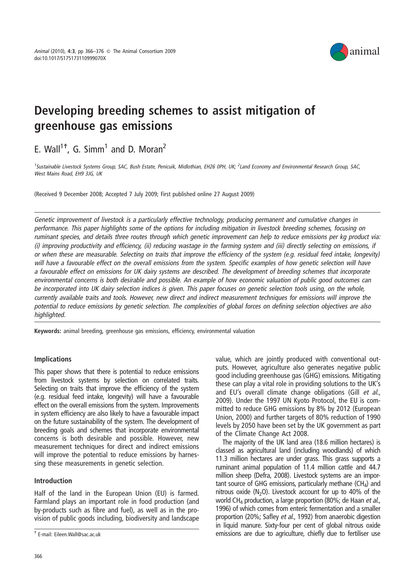

# Developing breeding schemes to assist mitigation of greenhouse gas emissions

E. Wall<sup>1+</sup>, G. Simm<sup>1</sup> and D. Moran<sup>2</sup>

<sup>1</sup>Sustainable Livestock Systems Group, SAC, Bush Estate, Penicuik, Midlothian, EH26 0PH, UK; <sup>2</sup>Land Economy and Environmental Research Group, SAC, West Mains Road, EH9 3JG, UK

(Received 9 December 2008; Accepted 7 July 2009; First published online 27 August 2009)

Genetic improvement of livestock is <sup>a</sup> particularly effective technology, producing permanent and cumulative changes in performance. This paper highlights some of the options for including mitigation in livestock breeding schemes, focusing on ruminant species, and details three routes through which genetic improvement can help to reduce emissions per kg product via: (i) improving productivity and efficiency, (ii) reducing wastage in the farming system and (iii) directly selecting on emissions, if or when these are measurable. Selecting on traits that improve the efficiency of the system (e.g. residual feed intake, longevity) will have <sup>a</sup> favourable effect on the overall emissions from the system. Specific examples of how genetic selection will have <sup>a</sup> favourable effect on emissions for UK dairy systems are described. The development of breeding schemes that incorporate environmental concerns is both desirable and possible. An example of how economic valuation of public good outcomes can be incorporated into UK dairy selection indices is given. This paper focuses on genetic selection tools using, on the whole, currently available traits and tools. However, new direct and indirect measurement techniques for emissions will improve the potential to reduce emissions by genetic selection. The complexities of global forces on defining selection objectives are also highlighted.

Keywords: animal breeding, greenhouse gas emissions, efficiency, environmental valuation

# **Implications**

This paper shows that there is potential to reduce emissions from livestock systems by selection on correlated traits. Selecting on traits that improve the efficiency of the system (e.g. residual feed intake, longevity) will have a favourable effect on the overall emissions from the system. Improvements in system efficiency are also likely to have a favourable impact on the future sustainability of the system. The development of breeding goals and schemes that incorporate environmental concerns is both desirable and possible. However, new measurement techniques for direct and indirect emissions will improve the potential to reduce emissions by harnessing these measurements in genetic selection.

# Introduction

Half of the land in the European Union (EU) is farmed. Farmland plays an important role in food production (and by-products such as fibre and fuel), as well as in the provision of public goods including, biodiversity and landscape value, which are jointly produced with conventional outputs. However, agriculture also generates negative public good including greenhouse gas (GHG) emissions. Mitigating these can play a vital role in providing solutions to the UK's and EU's overall climate change obligations (Gill et al., 2009). Under the 1997 UN Kyoto Protocol, the EU is committed to reduce GHG emissions by 8% by 2012 (European Union, 2000) and further targets of 80% reduction of 1990 levels by 2050 have been set by the UK government as part of the Climate Change Act 2008.

The majority of the UK land area (18.6 million hectares) is classed as agricultural land (including woodlands) of which 11.3 million hectares are under grass. This grass supports a ruminant animal population of 11.4 million cattle and 44.7 million sheep (Defra, 2008). Livestock systems are an important source of GHG emissions, particularly methane  $(CH<sub>A</sub>)$  and nitrous oxide ( $N_2$ O). Livestock account for up to 40% of the world CH<sub>4</sub> production, a large proportion (80%; de Haan et al., 1996) of which comes from enteric fermentation and a smaller proportion (20%; Safley et al., 1992) from anaerobic digestion in liquid manure. Sixty-four per cent of global nitrous oxide <sup>+</sup> E-mail: Eileen.Wall@sac.ac.uk - E-missions are due to agriculture, chiefly due to fertiliser use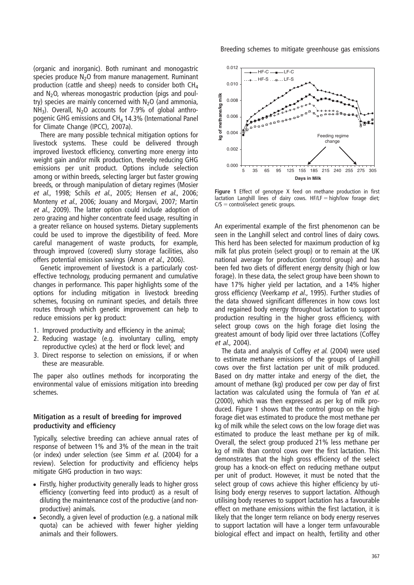(organic and inorganic). Both ruminant and monogastric species produce  $N_2O$  from manure management. Ruminant production (cattle and sheep) needs to consider both  $CH<sub>4</sub>$ and  $N_2O$ , whereas monogastric production (pigs and poultry) species are mainly concerned with  $N<sub>2</sub>O$  (and ammonia, NH<sub>3</sub>). Overall, N<sub>2</sub>O accounts for 7.9% of global anthropogenic GHG emissions and CH4 14.3% (International Panel for Climate Change (IPCC), 2007a).

There are many possible technical mitigation options for livestock systems. These could be delivered through improved livestock efficiency, converting more energy into weight gain and/or milk production, thereby reducing GHG emissions per unit product. Options include selection among or within breeds, selecting larger but faster growing breeds, or through manipulation of dietary regimes (Mosier et al., 1998; Schils et al., 2005; Hensen et al., 2006; Monteny et al., 2006; Jouany and Morgavi, 2007; Martin et al., 2009). The latter option could include adoption of zero grazing and higher concentrate feed usage, resulting in a greater reliance on housed systems. Dietary supplements could be used to improve the digestibility of feed. More careful management of waste products, for example, through improved (covered) slurry storage facilities, also offers potential emission savings (Amon et al., 2006).

Genetic improvement of livestock is a particularly costeffective technology, producing permanent and cumulative changes in performance. This paper highlights some of the options for including mitigation in livestock breeding schemes, focusing on ruminant species, and details three routes through which genetic improvement can help to reduce emissions per kg product:

- 1. Improved productivity and efficiency in the animal;
- 2. Reducing wastage (e.g. involuntary culling, empty reproductive cycles) at the herd or flock level; and
- 3. Direct response to selection on emissions, if or when these are measurable.

The paper also outlines methods for incorporating the environmental value of emissions mitigation into breeding schemes.

## Mitigation as a result of breeding for improved productivity and efficiency

Typically, selective breeding can achieve annual rates of response of between 1% and 3% of the mean in the trait (or index) under selection (see Simm et al. (2004) for a review). Selection for productivity and efficiency helps mitigate GHG production in two ways:

- <sup>&</sup>gt; Firstly, higher productivity generally leads to higher gross efficiency (converting feed into product) as a result of diluting the maintenance cost of the productive (and nonproductive) animals.
- Secondly, a given level of production (e.g. a national milk quota) can be achieved with fewer higher yielding animals and their followers.

Breeding schemes to mitigate greenhouse gas emissions



Figure 1 Effect of genotype X feed on methane production in first lactation Langhill lines of dairy cows.  $HFLF = high/low$  forage diet;  $C/S = control/select$  genetic groups.

An experimental example of the first phenomenon can be seen in the Langhill select and control lines of dairy cows. This herd has been selected for maximum production of kg milk fat plus protein (select group) or to remain at the UK national average for production (control group) and has been fed two diets of different energy density (high or low forage). In these data, the select group have been shown to have 17% higher yield per lactation, and a 14% higher gross efficiency (Veerkamp et al., 1995). Further studies of the data showed significant differences in how cows lost and regained body energy throughout lactation to support production resulting in the higher gross efficiency, with select group cows on the high forage diet losing the greatest amount of body lipid over three lactations (Coffey et al., 2004).

The data and analysis of Coffey et al. (2004) were used to estimate methane emissions of the groups of Langhill cows over the first lactation per unit of milk produced. Based on dry matter intake and energy of the diet, the amount of methane (kg) produced per cow per day of first lactation was calculated using the formula of Yan et al. (2000), which was then expressed as per kg of milk produced. Figure 1 shows that the control group on the high forage diet was estimated to produce the most methane per kg of milk while the select cows on the low forage diet was estimated to produce the least methane per kg of milk. Overall, the select group produced 21% less methane per kg of milk than control cows over the first lactation. This demonstrates that the high gross efficiency of the select group has a knock-on effect on reducing methane output per unit of product. However, it must be noted that the select group of cows achieve this higher efficiency by utilising body energy reserves to support lactation. Although utilising body reserves to support lactation has a favourable effect on methane emissions within the first lactation, it is likely that the longer term reliance on body energy reserves to support lactation will have a longer term unfavourable biological effect and impact on health, fertility and other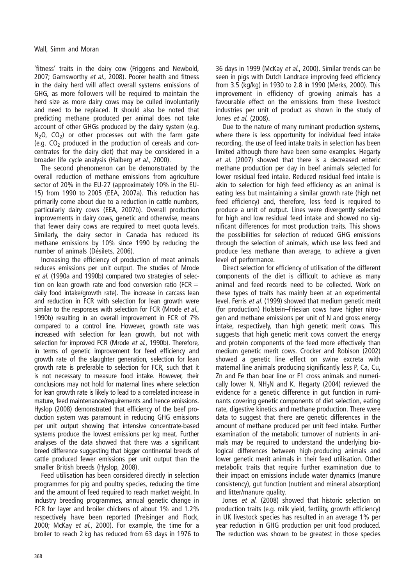'fitness' traits in the dairy cow (Friggens and Newbold, 2007; Garnsworthy et al., 2008). Poorer health and fitness in the dairy herd will affect overall systems emissions of GHG, as more followers will be required to maintain the herd size as more dairy cows may be culled involuntarily and need to be replaced. It should also be noted that predicting methane produced per animal does not take account of other GHGs produced by the dairy system (e.g.  $N_2$ O, CO<sub>2</sub>) or other processes out with the farm gate (e.g.  $CO<sub>2</sub>$  produced in the production of cereals and concentrates for the dairy diet) that may be considered in a broader life cycle analysis (Halberg et al., 2000).

The second phenomenon can be demonstrated by the overall reduction of methane emissions from agriculture sector of 20% in the EU-27 (approximately 10% in the EU-15) from 1990 to 2005 (EEA, 2007a). This reduction has primarily come about due to a reduction in cattle numbers, particularly dairy cows (EEA, 2007b). Overall production improvements in dairy cows, genetic and otherwise, means that fewer dairy cows are required to meet quota levels. Similarly, the dairy sector in Canada has reduced its methane emissions by 10% since 1990 by reducing the number of animals (Désilets, 2006).

Increasing the efficiency of production of meat animals reduces emissions per unit output. The studies of Mrode et al. (1990a and 1990b) compared two strategies of selection on lean growth rate and food conversion ratio (FCR  $=$ daily food intake/growth rate). The increase in carcass lean and reduction in FCR with selection for lean growth were similar to the responses with selection for FCR (Mrode et al., 1990b) resulting in an overall improvement in FCR of 7% compared to a control line. However, growth rate was increased with selection for lean growth, but not with selection for improved FCR (Mrode *et al.*, 1990b). Therefore, in terms of genetic improvement for feed efficiency and growth rate of the slaughter generation, selection for lean growth rate is preferable to selection for FCR, such that it is not necessary to measure food intake. However, their conclusions may not hold for maternal lines where selection for lean growth rate is likely to lead to a correlated increase in mature, feed maintenance/requirements and hence emissions. Hyslop (2008) demonstrated that efficiency of the beef production system was paramount in reducing GHG emissions per unit output showing that intensive concentrate-based systems produce the lowest emissions per kg meat. Further analyses of the data showed that there was a significant breed difference suggesting that bigger continental breeds of cattle produced fewer emissions per unit output than the smaller British breeds (Hyslop, 2008).

Feed utilisation has been considered directly in selection programmes for pig and poultry species, reducing the time and the amount of feed required to reach market weight. In industry breeding programmes, annual genetic change in FCR for layer and broiler chickens of about 1% and 1.2% respectively have been reported (Preisinger and Flock, 2000; McKay et al., 2000). For example, the time for a broiler to reach 2 kg has reduced from 63 days in 1976 to 36 days in 1999 (McKay et al., 2000). Similar trends can be seen in pigs with Dutch Landrace improving feed efficiency from 3.5 (kg/kg) in 1930 to 2.8 in 1990 (Merks, 2000). This improvement in efficiency of growing animals has a favourable effect on the emissions from these livestock industries per unit of product as shown in the study of Jones et al. (2008).

Due to the nature of many ruminant production systems, where there is less opportunity for individual feed intake recording, the use of feed intake traits in selection has been limited although there have been some examples. Hegarty et al. (2007) showed that there is a decreased enteric methane production per day in beef animals selected for lower residual feed intake. Reduced residual feed intake is akin to selection for high feed efficiency as an animal is eating less but maintaining a similar growth rate (high net feed efficiency) and, therefore, less feed is required to produce a unit of output. Lines were divergently selected for high and low residual feed intake and showed no significant differences for most production traits. This shows the possibilities for selection of reduced GHG emissions through the selection of animals, which use less feed and produce less methane than average, to achieve a given level of performance.

Direct selection for efficiency of utilisation of the different components of the diet is difficult to achieve as many animal and feed records need to be collected. Work on these types of traits has mainly been at an experimental level. Ferris et al. (1999) showed that medium genetic merit (for production) Holstein–Friesian cows have higher nitrogen and methane emissions per unit of N and gross energy intake, respectively, than high genetic merit cows. This suggests that high genetic merit cows convert the energy and protein components of the feed more effectively than medium genetic merit cows. Crocker and Robison (2002) showed a genetic line effect on swine excreta with maternal line animals producing significantly less P, Ca, Cu, Zn and Fe than boar line or F1 cross animals and numerically lower N, NH3N and K. Hegarty (2004) reviewed the evidence for a genetic difference in gut function in ruminants covering genetic components of diet selection, eating rate, digestive kinetics and methane production. There were data to suggest that there are genetic differences in the amount of methane produced per unit feed intake. Further examination of the metabolic turnover of nutrients in animals may be required to understand the underlying biological differences between high-producing animals and lower genetic merit animals in their feed utilisation. Other metabolic traits that require further examination due to their impact on emissions include water dynamics (manure consistency), gut function (nutrient and mineral absorption) and litter/manure quality.

Jones et al. (2008) showed that historic selection on production traits (e.g. milk yield, fertility, growth efficiency) in UK livestock species has resulted in an average 1% per year reduction in GHG production per unit food produced. The reduction was shown to be greatest in those species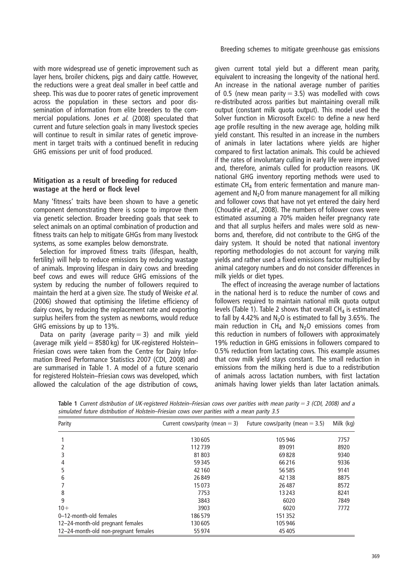with more widespread use of genetic improvement such as layer hens, broiler chickens, pigs and dairy cattle. However, the reductions were a great deal smaller in beef cattle and sheep. This was due to poorer rates of genetic improvement across the population in these sectors and poor dissemination of information from elite breeders to the commercial populations. Jones et al. (2008) speculated that current and future selection goals in many livestock species will continue to result in similar rates of genetic improvement in target traits with a continued benefit in reducing GHG emissions per unit of food produced.

## Mitigation as a result of breeding for reduced wastage at the herd or flock level

Many 'fitness' traits have been shown to have a genetic component demonstrating there is scope to improve them via genetic selection. Broader breeding goals that seek to select animals on an optimal combination of production and fitness traits can help to mitigate GHGs from many livestock systems, as some examples below demonstrate.

Selection for improved fitness traits (lifespan, health, fertility) will help to reduce emissions by reducing wastage of animals. Improving lifespan in dairy cows and breeding beef cows and ewes will reduce GHG emissions of the system by reducing the number of followers required to maintain the herd at a given size. The study of Weiske et al. (2006) showed that optimising the lifetime efficiency of dairy cows, by reducing the replacement rate and exporting surplus heifers from the system as newborns, would reduce GHG emissions by up to 13%.

Data on parity (average parity  $= 3$ ) and milk yield (average milk yield  $= 8580$  kg) for UK-registered Holstein– Friesian cows were taken from the Centre for Dairy Information Breed Performance Statistics 2007 (CDI, 2008) and are summarised in Table 1. A model of a future scenario for registered Holstein–Friesian cows was developed, which allowed the calculation of the age distribution of cows,

Breeding schemes to mitigate greenhouse gas emissions

given current total yield but a different mean parity, equivalent to increasing the longevity of the national herd. An increase in the national average number of parities of 0.5 (new mean parity  $= 3.5$ ) was modelled with cows re-distributed across parities but maintaining overall milk output (constant milk quota output). This model used the Solver function in Microsoft Excel© to define a new herd age profile resulting in the new average age, holding milk yield constant. This resulted in an increase in the numbers of animals in later lactations where yields are higher compared to first lactation animals. This could be achieved if the rates of involuntary culling in early life were improved and, therefore, animals culled for production reasons. UK national GHG inventory reporting methods were used to estimate  $CH<sub>4</sub>$  from enteric fermentation and manure management and  $N<sub>2</sub>O$  from manure management for all milking and follower cows that have not yet entered the dairy herd (Choudrie et al., 2008). The numbers of follower cows were estimated assuming a 70% maiden heifer pregnancy rate and that all surplus heifers and males were sold as newborns and, therefore, did not contribute to the GHG of the dairy system. It should be noted that national inventory reporting methodologies do not account for varying milk yields and rather used a fixed emissions factor multiplied by animal category numbers and do not consider differences in milk yields or diet types.

The effect of increasing the average number of lactations in the national herd is to reduce the number of cows and followers required to maintain national milk quota output levels (Table 1). Table 2 shows that overall  $CH<sub>4</sub>$  is estimated to fall by 4.42% and  $N<sub>2</sub>O$  is estimated to fall by 3.65%. The main reduction in  $CH_4$  and  $N_2O$  emissions comes from this reduction in numbers of followers with approximately 19% reduction in GHG emissions in followers compared to 0.5% reduction from lactating cows. This example assumes that cow milk yield stays constant. The small reduction in emissions from the milking herd is due to a redistribution of animals across lactation numbers, with first lactation animals having lower yields than later lactation animals.

Table 1 Current distribution of UK-registered Holstein–Friesian cows over parities with mean parity  $=$  3 (CDI, 2008) and a simulated future distribution of Holstein–Friesian cows over parities with <sup>a</sup> mean parity 3.5

| Parity                               | Current cows/parity (mean $=$ 3) | Future cows/parity (mean $=$ 3.5) | Milk (kg) |  |
|--------------------------------------|----------------------------------|-----------------------------------|-----------|--|
|                                      | 130 605                          | 105 946                           | 7757      |  |
|                                      | 112739                           | 89091                             | 8920      |  |
|                                      | 81803                            | 69828                             | 9340      |  |
| 4                                    | 59345                            | 66216                             | 9336      |  |
| 5                                    | 42 160                           | 56585                             | 9141      |  |
| 6                                    | 26849                            | 42 138                            | 8875      |  |
|                                      | 15073                            | 26 487                            | 8572      |  |
| 8                                    | 7753                             | 13243                             | 8241      |  |
| 9                                    | 3843                             | 6020                              | 7849      |  |
| $10+$                                | 3903                             | 6020                              | 7772      |  |
| 0-12-month-old females               | 186579                           | 151 352                           |           |  |
| 12-24-month-old pregnant females     | 130 605                          | 105 946                           |           |  |
| 12-24-month-old non-pregnant females | 55974                            | 45 4 05                           |           |  |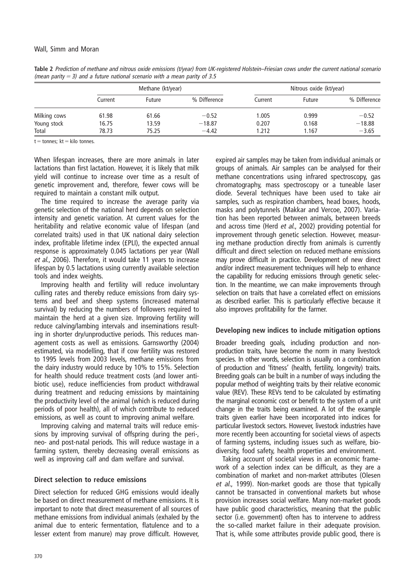|              | Methane (kt/year) |        |              | Nitrous oxide (kt/year) |        |              |
|--------------|-------------------|--------|--------------|-------------------------|--------|--------------|
|              | Current           | Future | % Difference | Current                 | Future | % Difference |
| Milking cows | 61.98             | 61.66  | $-0.52$      | 1.005                   | 0.999  | $-0.52$      |
| Young stock  | 16.75             | 13.59  | $-18.87$     | 0.207                   | 0.168  | $-18.88$     |
| Total        | 78.73             | 75.25  | $-4.42$      | 1.212                   | 1.167  | $-3.65$      |

Table 2 Prediction of methane and nitrous oxide emissions (t/year) from UK-registered Holstein–Friesian cows under the current national scenario (mean parity  $= 3$ ) and a future national scenario with a mean parity of 3.5

 $t =$  tonnes:  $kt =$  kilo tonnes.

When lifespan increases, there are more animals in later lactations than first lactation. However, it is likely that milk yield will continue to increase over time as a result of genetic improvement and, therefore, fewer cows will be required to maintain a constant milk output.

The time required to increase the average parity via genetic selection of the national herd depends on selection intensity and genetic variation. At current values for the heritability and relative economic value of lifespan (and correlated traits) used in that UK national dairy selection index, profitable lifetime index (£PLI), the expected annual response is approximately 0.045 lactations per year (Wall et al., 2006). Therefore, it would take 11 years to increase lifespan by 0.5 lactations using currently available selection tools and index weights.

Improving health and fertility will reduce involuntary culling rates and thereby reduce emissions from dairy systems and beef and sheep systems (increased maternal survival) by reducing the numbers of followers required to maintain the herd at a given size. Improving fertility will reduce calving/lambing intervals and inseminations resulting in shorter dry/unproductive periods. This reduces management costs as well as emissions. Garnsworthy (2004) estimated, via modelling, that if cow fertility was restored to 1995 levels from 2003 levels, methane emissions from the dairy industry would reduce by 10% to 15%. Selection for health should reduce treatment costs (and lower antibiotic use), reduce inefficiencies from product withdrawal during treatment and reducing emissions by maintaining the productivity level of the animal (which is reduced during periods of poor health), all of which contribute to reduced emissions, as well as count to improving animal welfare.

Improving calving and maternal traits will reduce emissions by improving survival of offspring during the peri-, neo- and post-natal periods. This will reduce wastage in a farming system, thereby decreasing overall emissions as well as improving calf and dam welfare and survival.

# Direct selection to reduce emissions

Direct selection for reduced GHG emissions would ideally be based on direct measurement of methane emissions. It is important to note that direct measurement of all sources of methane emissions from individual animals (exhaled by the animal due to enteric fermentation, flatulence and to a lesser extent from manure) may prove difficult. However,

expired air samples may be taken from individual animals or groups of animals. Air samples can be analysed for their methane concentrations using infrared spectroscopy, gas chromatography, mass spectroscopy or a tuneable laser diode. Several techniques have been used to take air samples, such as respiration chambers, head boxes, hoods, masks and polytunnels (Makkar and Vercoe, 2007). Variation has been reported between animals, between breeds and across time (Herd et al., 2002) providing potential for improvement through genetic selection. However, measuring methane production directly from animals is currently difficult and direct selection on reduced methane emissions may prove difficult in practice. Development of new direct and/or indirect measurement techniques will help to enhance the capability for reducing emissions through genetic selection. In the meantime, we can make improvements through selection on traits that have a correlated effect on emissions as described earlier. This is particularly effective because it also improves profitability for the farmer.

# Developing new indices to include mitigation options

Broader breeding goals, including production and nonproduction traits, have become the norm in many livestock species. In other words, selection is usually on a combination of production and 'fitness' (health, fertility, longevity) traits. Breeding goals can be built in a number of ways including the popular method of weighting traits by their relative economic value (REV). These REVs tend to be calculated by estimating the marginal economic cost or benefit to the system of a unit change in the traits being examined. A lot of the example traits given earlier have been incorporated into indices for particular livestock sectors. However, livestock industries have more recently been accounting for societal views of aspects of farming systems, including issues such as welfare, biodiversity, food safety, health properties and environment.

Taking account of societal views in an economic framework of a selection index can be difficult, as they are a combination of market and non-market attributes (Olesen et al., 1999). Non-market goods are those that typically cannot be transacted in conventional markets but whose provision increases social welfare. Many non-market goods have public good characteristics, meaning that the public sector (i.e. government) often has to intervene to address the so-called market failure in their adequate provision. That is, while some attributes provide public good, there is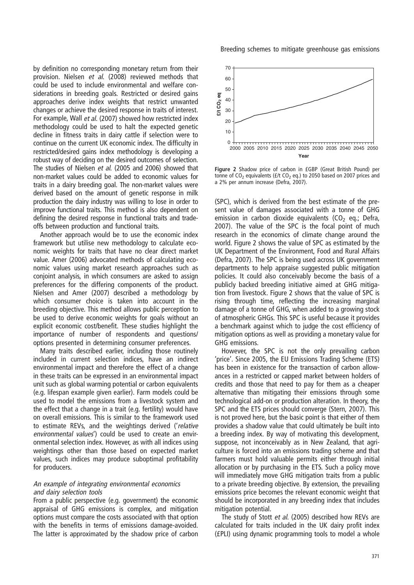by definition no corresponding monetary return from their provision. Nielsen et al. (2008) reviewed methods that could be used to include environmental and welfare considerations in breeding goals. Restricted or desired gains approaches derive index weights that restrict unwanted changes or achieve the desired response in traits of interest. For example, Wall et al. (2007) showed how restricted index methodology could be used to halt the expected genetic decline in fitness traits in dairy cattle if selection were to continue on the current UK economic index. The difficulty in restricted/desired gains index methodology is developing a robust way of deciding on the desired outcomes of selection. The studies of Nielsen et al. (2005 and 2006) showed that non-market values could be added to economic values for traits in a dairy breeding goal. The non-market values were derived based on the amount of genetic response in milk production the dairy industry was willing to lose in order to improve functional traits. This method is also dependent on defining the desired response in functional traits and tradeoffs between production and functional traits.

Another approach would be to use the economic index framework but utilise new methodology to calculate economic weights for traits that have no clear direct market value. Amer (2006) advocated methods of calculating economic values using market research approaches such as conjoint analysis, in which consumers are asked to assign preferences for the differing components of the product. Nielsen and Amer (2007) described a methodology by which consumer choice is taken into account in the breeding objective. This method allows public perception to be used to derive economic weights for goals without an explicit economic cost/benefit. These studies highlight the importance of number of respondents and questions/ options presented in determining consumer preferences.

Many traits described earlier, including those routinely included in current selection indices, have an indirect environmental impact and therefore the effect of a change in these traits can be expressed in an environmental impact unit such as global warming potential or carbon equivalents (e.g. lifespan example given earlier). Farm models could be used to model the emissions from a livestock system and the effect that a change in a trait (e.g. fertility) would have on overall emissions. This is similar to the framework used to estimate REVs, and the weightings derived ('relative environmental values') could be used to create an environmental selection index. However, as with all indices using weightings other than those based on expected market values, such indices may produce suboptimal profitability for producers.

## An example of integrating environmental economics and dairy selection tools

From a public perspective (e.g. government) the economic appraisal of GHG emissions is complex, and mitigation options must compare the costs associated with that option with the benefits in terms of emissions damage-avoided. The latter is approximated by the shadow price of carbon

Breeding schemes to mitigate greenhouse gas emissions



Figure 2 Shadow price of carbon in £GBP (Great British Pound) per tonne of CO<sub>2</sub> equivalents ( $E/t$  CO<sub>2</sub> eq.) to 2050 based on 2007 prices and a 2% per annum increase (Defra, 2007).

(SPC), which is derived from the best estimate of the present value of damages associated with a tonne of GHG emission in carbon dioxide equivalents (CO<sub>2</sub> eq.; Defra, 2007). The value of the SPC is the focal point of much research in the economics of climate change around the world. Figure 2 shows the value of SPC as estimated by the UK Department of the Environment, Food and Rural Affairs (Defra, 2007). The SPC is being used across UK government departments to help appraise suggested public mitigation policies. It could also conceivably become the basis of a publicly backed breeding initiative aimed at GHG mitigation from livestock. Figure 2 shows that the value of SPC is rising through time, reflecting the increasing marginal damage of a tonne of GHG, when added to a growing stock of atmospheric GHGs. This SPC is useful because it provides a benchmark against which to judge the cost efficiency of mitigation options as well as providing a monetary value for GHG emissions.

However, the SPC is not the only prevailing carbon 'price'. Since 2005, the EU Emissions Trading Scheme (ETS) has been in existence for the transaction of carbon allowances in a restricted or capped market between holders of credits and those that need to pay for them as a cheaper alternative than mitigating their emissions through some technological add-on or production alteration. In theory, the SPC and the ETS prices should converge (Stern, 2007). This is not proved here, but the basic point is that either of them provides a shadow value that could ultimately be built into a breeding index. By way of motivating this development, suppose, not inconceivably as in New Zealand, that agriculture is forced into an emissions trading scheme and that farmers must hold valuable permits either through initial allocation or by purchasing in the ETS. Such a policy move will immediately move GHG mitigation traits from a public to a private breeding objective. By extension, the prevailing emissions price becomes the relevant economic weight that should be incorporated in any breeding index that includes mitigation potential.

The study of Stott et al. (2005) described how REVs are calculated for traits included in the UK dairy profit index (£PLI) using dynamic programming tools to model a whole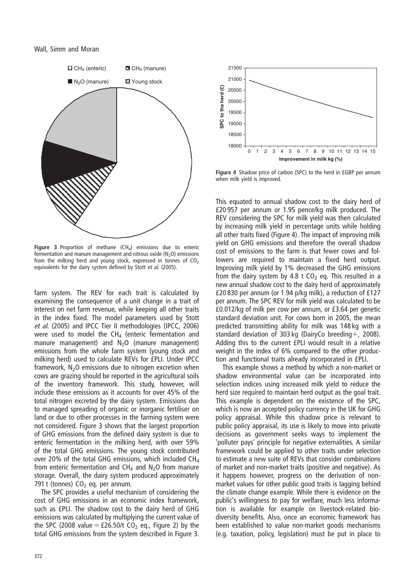

Figure 3 Proportion of methane  $(CH_4)$  emissions due to enteric fermentation and manure management and nitrous oxide ( $N_2$ O) emissions from the milking herd and young stock, expressed in tonnes of  $CO<sub>2</sub>$ equivalents for the dairy system defined by Stott et al. (2005).

farm system. The REV for each trait is calculated by examining the consequence of a unit change in a trait of interest on net farm revenue, while keeping all other traits in the index fixed. The model parameters used by Stott et al. (2005) and IPCC Tier II methodologies (IPCC, 2006) were used to model the CH<sub>4</sub> (enteric fermentation and manure management) and  $N_2O$  (manure management) emissions from the whole farm system (young stock and milking herd) used to calculate REVs for £PLI. Under IPCC framework,  $N<sub>2</sub>O$  emissions due to nitrogen excretion when cows are grazing should be reported in the agricultural soils of the inventory framework. This study, however, will include these emissions as it accounts for over 45% of the total nitrogen excreted by the dairy system. Emissions due to managed spreading of organic or inorganic fertiliser on land or due to other processes in the farming system were not considered. Figure 3 shows that the largest proportion of GHG emissions from the defined dairy system is due to enteric fermentation in the milking herd, with over 59% of the total GHG emissions. The young stock contributed over 20% of the total GHG emissions, which included  $CH<sub>4</sub>$ from enteric fermentation and  $CH<sub>4</sub>$  and  $N<sub>2</sub>O$  from manure storage. Overall, the dairy system produced approximately 791 t (tonnes)  $CO<sub>2</sub>$  eq. per annum.

The SPC provides a useful mechanism of considering the cost of GHG emissions in an economic index framework, such as £PLI. The shadow cost to the dairy herd of GHG emissions was calculated by multiplying the current value of the SPC (2008 value = £26.50/t CO<sub>2</sub> eq., Figure 2) by the total GHG emissions from the system described in Figure 3.



Figure 4 Shadow price of carbon (SPC) to the herd in £GBP per annum when milk yield is improved.

This equated to annual shadow cost to the dairy herd of £20 957 per annum or 1.95 pence/kg milk produced. The REV considering the SPC for milk yield was then calculated by increasing milk yield in percentage units while holding all other traits fixed (Figure 4). The impact of improving milk yield on GHG emissions and therefore the overall shadow cost of emissions to the farm is that fewer cows and followers are required to maintain a fixed herd output. Improving milk yield by 1% decreased the GHG emissions from the dairy system by 4.8 t  $CO<sub>2</sub>$  eq. This resulted in a new annual shadow cost to the dairy herd of approximately £20 830 per annum (or 1.94 p/kg milk), a reduction of £127 per annum. The SPC REV for milk yield was calculated to be £0.012/kg of milk per cow per annum, or £3.64 per genetic standard deviation unit. For cows born in 2005, the mean predicted transmitting ability for milk was 148 kg with a standard deviation of 303 kg (DairyCo breeding +, 2008). Adding this to the current £PLI would result in a relative weight in the index of 6% compared to the other production and functional traits already incorporated in £PLI.

This example shows a method by which a non-market or shadow environmental value can be incorporated into selection indices using increased milk yield to reduce the herd size required to maintain herd output as the goal trait. This example is dependent on the existence of the SPC, which is now an accepted policy currency in the UK for GHG policy appraisal. While this shadow price is relevant to public policy appraisal, its use is likely to move into private decisions as government seeks ways to implement the 'polluter pays' principle for negative externalities. A similar framework could be applied to other traits under selection to estimate a new suite of REVs that consider combinations of market and non-market traits (positive and negative). As it happens however, progress on the derivation of nonmarket values for other public good traits is lagging behind the climate change example. While there is evidence on the public's willingness to pay for welfare, much less information is available for example on livestock-related biodiversity benefits. Also, once an economic framework has been established to value non-market goods mechanisms (e.g. taxation, policy, legislation) must be put in place to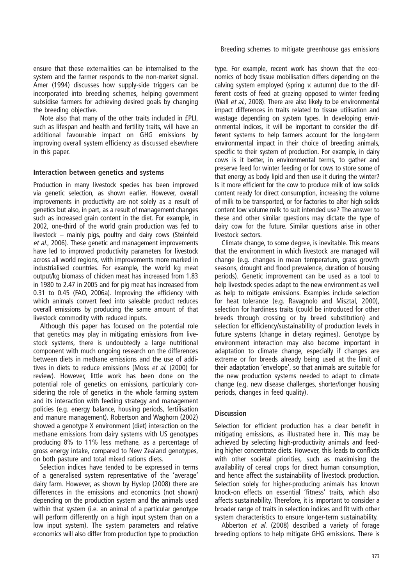ensure that these externalities can be internalised to the system and the farmer responds to the non-market signal. Amer (1994) discusses how supply-side triggers can be incorporated into breeding schemes, helping government subsidise farmers for achieving desired goals by changing the breeding objective.

Note also that many of the other traits included in £PLI, such as lifespan and health and fertility traits, will have an additional favourable impact on GHG emissions by improving overall system efficiency as discussed elsewhere in this paper.

## Interaction between genetics and systems

Production in many livestock species has been improved via genetic selection, as shown earlier. However, overall improvements in productivity are not solely as a result of genetics but also, in part, as a result of management changes such as increased grain content in the diet. For example, in 2002, one-third of the world grain production was fed to livestock – mainly pigs, poultry and dairy cows (Steinfeld et al., 2006). These genetic and management improvements have led to improved productivity parameters for livestock across all world regions, with improvements more marked in industrialised countries. For example, the world kg meat output/kg biomass of chicken meat has increased from 1.83 in 1980 to 2.47 in 2005 and for pig meat has increased from 0.31 to 0.45 (FAO, 2006a). Improving the efficiency with which animals convert feed into saleable product reduces overall emissions by producing the same amount of that livestock commodity with reduced inputs.

Although this paper has focused on the potential role that genetics may play in mitigating emissions from livestock systems, there is undoubtedly a large nutritional component with much ongoing research on the differences between diets in methane emissions and the use of additives in diets to reduce emissions (Moss et al. (2000) for review). However, little work has been done on the potential role of genetics on emissions, particularly considering the role of genetics in the whole farming system and its interaction with feeding strategy and management policies (e.g. energy balance, housing periods, fertilisation and manure management). Robertson and Waghorn (2002) showed a genotype X environment (diet) interaction on the methane emissions from dairy systems with US genotypes producing 8% to 11% less methane, as a percentage of gross energy intake, compared to New Zealand genotypes, on both pasture and total mixed rations diets.

Selection indices have tended to be expressed in terms of a generalised system representative of the 'average' dairy farm. However, as shown by Hyslop (2008) there are differences in the emissions and economics (not shown) depending on the production system and the animals used within that system (i.e. an animal of a particular genotype will perform differently on a high input system than on a low input system). The system parameters and relative economics will also differ from production type to production Breeding schemes to mitigate greenhouse gas emissions

type. For example, recent work has shown that the economics of body tissue mobilisation differs depending on the calving system employed (spring <sup>v</sup>. autumn) due to the different costs of feed at grazing opposed to winter feeding (Wall et al., 2008). There are also likely to be environmental impact differences in traits related to tissue utilisation and wastage depending on system types. In developing environmental indices, it will be important to consider the different systems to help farmers account for the long-term environmental impact in their choice of breeding animals, specific to their system of production. For example, in dairy cows is it better, in environmental terms, to gather and preserve feed for winter feeding or for cows to store some of that energy as body lipid and then use it during the winter? Is it more efficient for the cow to produce milk of low solids content ready for direct consumption, increasing the volume of milk to be transported, or for factories to alter high solids content low volume milk to suit intended use? The answer to these and other similar questions may dictate the type of dairy cow for the future. Similar questions arise in other livestock sectors.

Climate change, to some degree, is inevitable. This means that the environment in which livestock are managed will change (e.g. changes in mean temperature, grass growth seasons, drought and flood prevalence, duration of housing periods). Genetic improvement can be used as a tool to help livestock species adapt to the new environment as well as help to mitigate emissions. Examples include selection for heat tolerance (e.g. Ravagnolo and Misztal, 2000), selection for hardiness traits (could be introduced for other breeds through crossing or by breed substitution) and selection for efficiency/sustainability of production levels in future systems (change in dietary regimes). Genotype by environment interaction may also become important in adaptation to climate change, especially if changes are extreme or for breeds already being used at the limit of their adaptation 'envelope', so that animals are suitable for the new production systems needed to adapt to climate change (e.g. new disease challenges, shorter/longer housing periods, changes in feed quality).

## **Discussion**

Selection for efficient production has a clear benefit in mitigating emissions, as illustrated here in. This may be achieved by selecting high-productivity animals and feeding higher concentrate diets. However, this leads to conflicts with other societal priorities, such as maximising the availability of cereal crops for direct human consumption, and hence affect the sustainability of livestock production. Selection solely for higher-producing animals has known knock-on effects on essential 'fitness' traits, which also affects sustainability. Therefore, it is important to consider a broader range of traits in selection indices and fit with other system characteristics to ensure longer-term sustainability.

Abberton et al. (2008) described a variety of forage breeding options to help mitigate GHG emissions. There is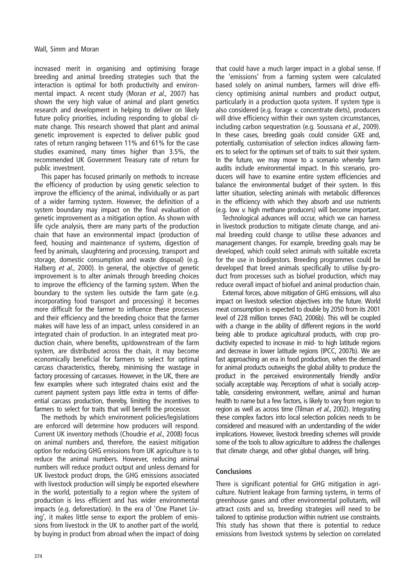increased merit in organising and optimising forage breeding and animal breeding strategies such that the interaction is optimal for both productivity and environmental impact. A recent study (Moran et al., 2007) has shown the very high value of animal and plant genetics research and development in helping to deliver on likely future policy priorities, including responding to global climate change. This research showed that plant and animal genetic improvement is expected to deliver public good rates of return ranging between 11% and 61% for the case studies examined, many times higher than 3.5%, the recommended UK Government Treasury rate of return for public investment.

This paper has focused primarily on methods to increase the efficiency of production by using genetic selection to improve the efficiency of the animal, individually or as part of a wider farming system. However, the definition of a system boundary may impact on the final evaluation of genetic improvement as a mitigation option. As shown with life cycle analysis, there are many parts of the production chain that have an environmental impact (production of feed, housing and maintenance of systems, digestion of feed by animals, slaughtering and processing, transport and storage, domestic consumption and waste disposal) (e.g. Halberg et al., 2000). In general, the objective of genetic improvement is to alter animals through breeding choices to improve the efficiency of the farming system. When the boundary to the system lies outside the farm gate (e.g. incorporating food transport and processing) it becomes more difficult for the farmer to influence these processes and their efficiency and the breeding choice that the farmer makes will have less of an impact, unless considered in an integrated chain of production. In an integrated meat production chain, where benefits, up/downstream of the farm system, are distributed across the chain, it may become economically beneficial for farmers to select for optimal carcass characteristics, thereby, minimising the wastage in factory processing of carcasses. However, in the UK, there are few examples where such integrated chains exist and the current payment system pays little extra in terms of differential carcass production, thereby, limiting the incentives to farmers to select for traits that will benefit the processor.

The methods by which environment policies/legislations are enforced will determine how producers will respond. Current UK inventory methods (Choudrie et al., 2008) focus on animal numbers and, therefore, the easiest mitigation option for reducing GHG emissions from UK agriculture is to reduce the animal numbers. However, reducing animal numbers will reduce product output and unless demand for UK livestock product drops, the GHG emissions associated with livestock production will simply be exported elsewhere in the world, potentially to a region where the system of production is less efficient and has wider environmental impacts (e.g. deforestation). In the era of 'One Planet Living', it makes little sense to export the problem of emissions from livestock in the UK to another part of the world, by buying in product from abroad when the impact of doing

that could have a much larger impact in a global sense. If the 'emissions' from a farming system were calculated based solely on animal numbers, farmers will drive efficiency optimising animal numbers and product output, particularly in a production quota system. If system type is also considered (e.g. forage <sup>v</sup>. concentrate diets), producers will drive efficiency within their own system circumstances, including carbon sequestration (e.g. Soussana et al., 2009). In these cases, breeding goals could consider GXE and, potentially, customisation of selection indices allowing farmers to select for the optimum set of traits to suit their system. In the future, we may move to a scenario whereby farm audits include environmental impact. In this scenario, producers will have to examine entire system efficiencies and balance the environmental budget of their system. In this latter situation, selecting animals with metabolic differences in the efficiency with which they absorb and use nutrients (e.g. low <sup>v</sup>. high methane producers) will become important.

Technological advances will occur, which we can harness in livestock production to mitigate climate change, and animal breeding could change to utilise these advances and management changes. For example, breeding goals may be developed, which could select animals with suitable excreta for the use in biodigestors. Breeding programmes could be developed that breed animals specifically to utilise by-product from processes such as biofuel production, which may reduce overall impact of biofuel and animal production chain.

External forces, above mitigation of GHG emissions, will also impact on livestock selection objectives into the future. World meat consumption is expected to double by 2050 from its 2001 level of 228 million tonnes (FAO, 2006b). This will be coupled with a change in the ability of different regions in the world being able to produce agricultural products, with crop productivity expected to increase in mid- to high latitude regions and decrease in lower latitude regions (IPCC, 2007b). We are fast approaching an era in food production, when the demand for animal products outweighs the global ability to produce the product in the perceived environmentally friendly and/or socially acceptable way. Perceptions of what is socially acceptable, considering environment, welfare, animal and human health to name but a few factors, is likely to vary from region to region as well as across time (Tilman et al., 2002). Integrating these complex factors into local selection policies needs to be considered and measured with an understanding of the wider implications. However, livestock breeding schemes will provide some of the tools to allow agriculture to address the challenges that climate change, and other global changes, will bring.

# **Conclusions**

There is significant potential for GHG mitigation in agriculture. Nutrient leakage from farming systems, in terms of greenhouse gases and other environmental pollutants, will attract costs and so, breeding strategies will need to be tailored to optimise production within nutrient use constraints. This study has shown that there is potential to reduce emissions from livestock systems by selection on correlated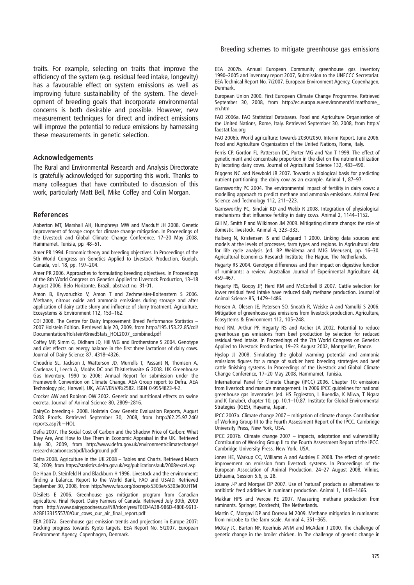traits. For example, selecting on traits that improve the efficiency of the system (e.g. residual feed intake, longevity) has a favourable effect on system emissions as well as improving future sustainability of the system. The development of breeding goals that incorporate environmental concerns is both desirable and possible. However, new measurement techniques for direct and indirect emissions will improve the potential to reduce emissions by harnessing these measurements in genetic selection.

#### Acknowledgements

The Rural and Environmental Research and Analysis Directorate is gratefully acknowledged for supporting this work. Thanks to many colleagues that have contributed to discussion of this work, particularly Matt Bell, Mike Coffey and Colin Morgan.

#### References

Abberton MT, Marshall AH, Humphreys MW and Macduff JH 2008. Genetic improvement of forage crops for climate change mitigation. In Proceedings of the Livestock and Global Climate Change Conference, 17–20 May 2008, Hammamet, Tunisia, pp. 48–51.

Amer PR 1994. Economic theory and breeding objectives. In Proceedings of the 5th World Congress on Genetics Applied to Livestock Production, Guelph, Canada, vol. 18, pp. 197–204.

Amer PR 2006. Approaches to formulating breeding objectives. In Proceedings of the 8th World Congress on Genetics Applied to Livestock Production, 13–18 August 2006, Belo Horizonte, Brazil, abstract no. 31-01.

Amon B, Kryvoruchko V, Amon T and Zechmeister-Boltenstern S 2006. Methane, nitrous oxide and ammonia emissions during storage and after application of dairy cattle slurry and influence of slurry treatment. Agriculture, Ecosystems & Environment 112, 153–162.

CDI 2008. The Centre for Dairy Improvement Breed Performance Statistics – 2007 Holstein Edition. Retrieved July 20, 2009, from http://195.153.22.85/cdi/ Documentation/Holstein/BreedStats\_HOL2007\_combined.pdf

Coffey MP, Simm G, Oldham JD, Hill WG and Brotherstone S 2004. Genotype and diet effects on energy balance in the first three lactations of dairy cows. Journal of Dairy Science 87, 4318–4326.

Choudrie SL, Jackson J, Watterson JD, Murrells T, Passant N, Thomson A, Cardenas L, Leech A, Mobbs DC and Thistlethwaite G 2008. UK Greenhouse Gas Inventory, 1990 to 2006: Annual Report for submission under the Framework Convention on Climate Change. AEA Group report to Defra. AEA Technology plc, Harwell, UK, AEAT/ENV/R/2582. ISBN 0-9554823-4-2.

Crocker AW and Robison OW 2002. Genetic and nutritional effects on swine excreta. Journal of Animal Science 80, 2809–2816.

DairyCo breeding + 2008. Holstein Cow Genetic Evaluation Reports, August 2008 Proofs. Retrieved September 30, 2008, from http://62.25.97.246/ reports.asp?b=HOL

Defra 2007. The Social Cost of Carbon and the Shadow Price of Carbon: What They Are, And How to Use Them in Economic Appraisal in the UK. Retrieved July 30, 2009, from http://www.defra.gov.uk/environment/climatechange/ research/carboncost/pdf/background.pdf

Defra 2008. Agriculture in the UK 2008 – Tables and Charts. Retrieved March 30, 2009, from https://statistics.defra.gov.uk/esg/publications/auk/2008/excel.asp

De Haan D, Steinfeld H and Blackburn H 1996. Livestock and the environment: finding a balance. Report to the World Bank, FAO and USAID. Retrieved September 30, 2008, from http://www.fao.org/docrep/x5303e/x5303e00.HTM

Désilets E 2006. Greenhouse gas mitigation program from Canadian agriculture. Final Report. Dairy Farmers of Canada. Retrieved July 30th, 2009 from http://www.dairygoodness.ca/NR/rdonlyres/F0ED4A38-9B6D-480E-9613- A2BF13315557/0/Our\_cows\_our\_air\_final\_report.pdf

EEA 2007a. Greenhouse gas emission trends and projections in Europe 2007: tracking progress towards Kyoto targets. EEA Report No. 5/2007. European Environment Agency, Copenhagen, Denmark.

## Breeding schemes to mitigate greenhouse gas emissions

EEA 2007b. Annual European Community greenhouse gas inventory 1990–2005 and inventory report 2007, Submission to the UNFCCC Secretariat. EEA Technical Report No. 7/2007. European Environment Agency, Copenhagen, Denmark.

European Union 2000. First European Climate Change Programme. Retrieved September 30, 2008, from http://ec.europa.eu/environment/climat/home\_ en.htm

FAO 2006a. FAO Statistical Databases. Food and Agriculture Organization of the United Nations, Rome, Italy. Retrieved September 30, 2008, from http:// faostat.fao.org

FAO 2006b. World agriculture: towards 2030/2050. Interim Report. June 2006. Food and Agriculture Organization of the United Nations, Rome, Italy.

Ferris CP, Gordon FJ, Patterson DC, Porter MG and Yan T 1999. The effect of genetic merit and concentrate proportion in the diet on the nutrient utilization by lactating dairy cows. Journal of Agricultural Science 132, 483–490.

Friggens NC and Newbold JR 2007. Towards a biological basis for predicting nutrient partitioning: the dairy cow as an example. Animal 1, 87–97.

Garnsworthy PC 2004. The environmental impact of fertility in dairy cows: a modelling approach to predict methane and ammonia emissions. Animal Feed Science and Technology 112, 211–223.

Garnsworthy PC, Sinclair KD and Webb R 2008. Integration of physiological mechanisms that influence fertility in dairy cows. Animal 2, 1144–1152.

Gill M, Smith P and Wilkinson JM 2009. Mitigating climate change: the role of domestic livestock. Animal 4, 323–333.

Halberg N, Kristensen IS and Dalgaard T 2000. Linking data sources and models at the levels of processes, farm types and regions. In Agricultural data for life cycle analysis (ed. BP Weidema and MJG Meeusen), pp. 16–30. Agricultural Economics Research Institute, The Hague, The Netherlands.

Hegarty RS 2004. Genotype differences and their impact on digestive function of ruminants: a review. Australian Journal of Experimental Agriculture 44, 459–467.

Hegarty RS, Goopy JP, Herd RM and McCorkell B 2007. Cattle selection for lower residual feed intake have reduced daily methane production. Journal of Animal Science 85, 1479–1486.

Hensen A, Olesen JE, Petersen SO, Sneath R, Weiske A and Yamulki S 2006. Mitigation of greenhouse gas emissions from livestock production. Agriculture, Ecosystems & Environment 112, 105–248.

Herd RM, Arthur PF, Hegarty RS and Archer JA 2002. Potential to reduce greenhouse gas emissions from beef production by selection for reduced residual feed intake. In Proceedings of the 7th World Congress on Genetics Applied to Livestock Production, 19–23 August 2002, Montpellier, France.

Hyslop JJ 2008. Simulating the global warming potential and ammonia emissions figures for a range of suckler herd breeding strategies and beef cattle finishing systems. In Proceedings of the Livestock and Global Climate Change Conference, 17–20 May 2008, Hammamet, Tunisia.

International Panel for Climate Change (IPCC) 2006. Chapter 10: emissions from livestock and manure management. In 2006 IPCC guidelines for national greenhouse gas inventories (ed. HS Eggleston, L Buendia, K Miwa, T Ngara and K Tanabe), chapter 10, pp. 10.1–10.87. Institute for Global Environmental Strategies (IGES), Hayama, Japan.

IPCC 2007a. Climate change 2007 – mitigation of climate change. Contribution of Working Group III to the Fourth Assessment Report of the IPCC. Cambridge University Press, New York, USA.

IPCC 2007b. Climate change 2007 – impacts, adaptation and vulnerability. Contribution of Working Group II to the Fourth Assessment Report of the IPCC. Cambridge University Press, New York, USA.

Jones HE, Warkup CC, Williams A and Audsley E 2008. The effect of genetic improvement on emission from livestock systems. In Proceedings of the European Association of Animal Production, 24–27 August 2008, Vilnius, Lithuania, Session 5.6, p. 28.

Jouany J-P and Morgavi DP 2007. Use of 'natural' products as alternatives to antibiotic feed additives in ruminant production. Animal 1, 1443–1466.

Makkar HPS and Vercoe PE 2007. Measuring methane production from ruminants. Springer, Dordrecht, The Netherlands.

Martin C, Morgavi DP and Doreau M 2009. Methane mitigation in ruminants: from microbe to the farm scale. Animal 4, 351–365.

McKay JC, Barton NF, Koerhuis ANM and McAdam J 2000. The challenge of genetic change in the broiler chicken. In The challenge of genetic change in